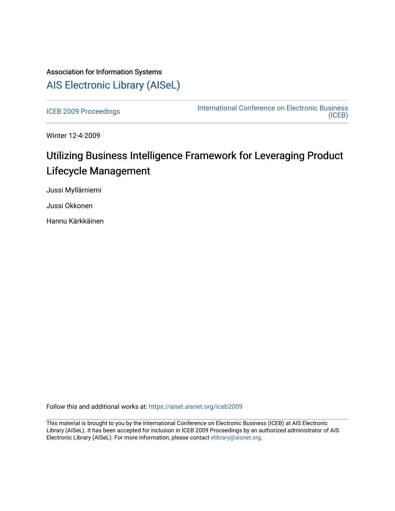## Association for Information Systems [AIS Electronic Library \(AISeL\)](https://aisel.aisnet.org/)

[ICEB 2009 Proceedings](https://aisel.aisnet.org/iceb2009) **International Conference on Electronic Business** [\(ICEB\)](https://aisel.aisnet.org/iceb) 

Winter 12-4-2009

# Utilizing Business Intelligence Framework for Leveraging Product Lifecycle Management

Jussi Myllärniemi

Jussi Okkonen

Hannu Kärkkäinen

Follow this and additional works at: [https://aisel.aisnet.org/iceb2009](https://aisel.aisnet.org/iceb2009?utm_source=aisel.aisnet.org%2Ficeb2009%2F5&utm_medium=PDF&utm_campaign=PDFCoverPages)

This material is brought to you by the International Conference on Electronic Business (ICEB) at AIS Electronic Library (AISeL). It has been accepted for inclusion in ICEB 2009 Proceedings by an authorized administrator of AIS Electronic Library (AISeL). For more information, please contact [elibrary@aisnet.org.](mailto:elibrary@aisnet.org%3E)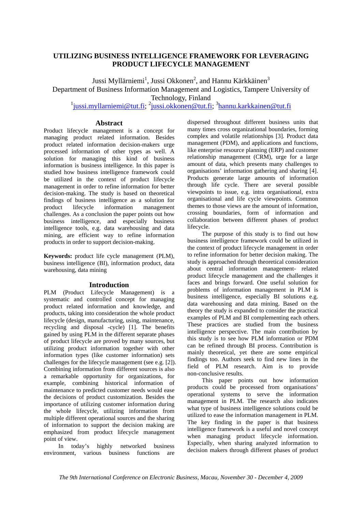## **UTILIZING BUSINESS INTELLIGENCE FRAMEWORK FOR LEVERAGING PRODUCT LIFECYCLE MANAGEMENT**

Jussi Myllärniemi $^1$ , Jussi Okkonen $^2$ , and Hannu Kärkkäinen $^3$ 

Department of Business Information Management and Logistics, Tampere University of

Technology, Finland

<sup>1</sup> jussi.myllarniemi@tut.fi; <sup>2</sup> jussi.okkonen@tut.fi; <sup>3</sup> hannu.karkkainen@tut.fi

## **Abstract**

Product lifecycle management is a concept for managing product related information. Besides product related information decision-makers urge processed information of other types as well. A solution for managing this kind of business information is business intelligence. In this paper is studied how business intelligence framework could be utilized in the context of product lifecycle management in order to refine information for better decision-making. The study is based on theoretical findings of business intelligence as a solution for product lifecycle information management challenges. As a conclusion the paper points out how business intelligence, and especially business intelligence tools, e.g. data warehousing and data mining, are efficient way to refine information products in order to support decision-making.

**Keywords:** product life cycle management (PLM), business intelligence (BI), information product, data warehousing, data mining

### **Introduction**

PLM (Product Lifecycle Management) is a systematic and controlled concept for managing product related information and knowledge, and products, taking into consideration the whole product lifecycle (design, manufacturing, using, maintenance, recycling and disposal -cycle) [1]. The benefits gained by using PLM in the different separate phases of product lifecycle are proved by many sources, but utilizing product information together with other information types (like customer information) sets challenges for the lifecycle management (see e.g. [2]). Combining information from different sources is also a remarkable opportunity for organizations, for example, combining historical information of maintenance to predicted customer needs would ease the decisions of product customization. Besides the importance of utilizing customer information during the whole lifecycle, utilizing information from multiple different operational sources and the sharing of information to support the decision making are emphasized from product lifecycle management point of view.

In today's highly networked business environment, various business functions are

dispersed throughout different business units that many times cross organizational boundaries, forming complex and volatile relationships [3]. Product data management (PDM), and applications and functions, like enterprise resource planning (ERP) and customer relationship management (CRM), urge for a large amount of data, which presents many challenges to organisations' information gathering and sharing [4]. Products generate large amounts of information through life cycle. There are several possible viewpoints to issue, e.g. intra organisational, extra organisational and life cycle viewpoints. Common themes to those views are the amount of information, crossing boundaries, form of information and collaboration between different phases of product lifecycle.

The purpose of this study is to find out how business intelligence framework could be utilized in the context of product lifecycle management in order to refine information for better decision making. The study is approached through theoretical consideration about central information management- related product lifecycle management and the challenges it faces and brings forward. One useful solution for problems of information management in PLM is business intelligence, especially BI solutions e.g. data warehousing and data mining. Based on the theory the study is expanded to consider the practical examples of PLM and BI complementing each others. These practices are studied from the business intelligence perspective. The main contribution by this study is to see how PLM information or PDM can be refined through BI process. Contribution is mainly theoretical, yet there are some empirical findings too. Authors seek to find new lines in the field of PLM research. Aim is to provide non-conclusive results.

This paper points out how information products could be processed from organisations' operational systems to serve the information management in PLM. The research also indicates what type of business intelligence solutions could be utilized to ease the information management in PLM. The key finding in the paper is that business intelligence framework is a useful and novel concept when managing product lifecycle information. Especially, when sharing analyzed information to decision makers through different phases of product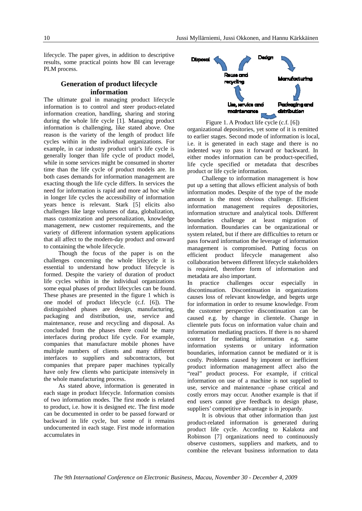lifecycle. The paper gives, in addition to descriptive results, some practical points how BI can leverage PLM process.

## **Generation of product lifecycle information**

The ultimate goal in managing product lifecycle information is to control and steer product-related information creation, handling, sharing and storing during the whole life cycle [1]. Managing product information is challenging, like stated above. One reason is the variety of the length of product life cycles within in the individual organizations. For example, in car industry product unit's life cycle is generally longer than life cycle of product model, while in some services might be consumed in shorter time than the life cycle of product models are. In both cases demands for information management are exacting though the life cycle differs. In services the need for information is rapid and more ad hoc while in longer life cycles the accessibility of information years hence is relevant. Stark [5] elicits also challenges like large volumes of data, globalization, mass customization and personalization, knowledge management, new customer requirements, and the variety of different information system applications that all affect to the modern-day product and onward to containing the whole lifecycle.

Though the focus of the paper is on the challenges concerning the whole lifecycle it is essential to understand how product lifecycle is formed. Despite the variety of duration of product life cycles within in the individual organizations some equal phases of product lifecycles can be found. These phases are presented in the figure 1 which is one model of product lifecycle (c.f. [6]). The distinguished phases are design, manufacturing, packaging and distribution, use, service and maintenance, reuse and recycling and disposal. As concluded from the phases there could be many interfaces during product life cycle. For example, companies that manufacture mobile phones have multiple numbers of clients and many different interfaces to suppliers and subcontractors, but companies that prepare paper machines typically have only few clients who participate intensively in the whole manufacturing process.

As stated above, information is generated in each stage in product lifecycle. Information consists of two information modes. The first mode is related to product, i.e. how it is designed etc. The first mode can be documented in order to be passed forward or backward in life cycle, but some of it remains undocumented in each stage. First mode information accumulates in



Figure 1. A Product life cycle (c.f. [6]) organizational depositories, yet some of it is remitted to earlier stages. Second mode of information is local, i.e. it is generated in each stage and there is no indented way to pass it forward or backward. In either modes information can be product-specified, life cycle specified or metadata that describes product or life cycle information.

Challenge to information management is how put up a setting that allows efficient analysis of both information modes. Despite of the type of the mode amount is the most obvious challenge. Efficient information management requires depositories, information structure and analytical tools. Different boundaries challenge at least migration of information. Boundaries can be organizational or system related, but if there are difficulties to return or pass forward information the leverage of information management is compromised. Putting focus on efficient product lifecycle management also collaboration between different lifecycle stakeholders is required, therefore form of information and metadata are also important.

In practice challenges occur especially in discontinuation. Discontinuation in organizations causes loss of relevant knowledge, and begets urge for information in order to resume knowledge. From the customer perspective discontinuation can be caused e.g. by change in clientele. Change in clientele puts focus on information value chain and information mediating practices. If there is no shared context for mediating information e.g. same information systems or unitary information boundaries, information cannot be mediated or it is costly. Problems caused by impotent or inefficient product information management affect also the "real" product process. For example, if critical information on use of a machine is not supplied to use, service and maintenance –phase critical and costly errors may occur. Another example is that if end users cannot give feedback to design phase, suppliers' competitive advantage is in jeopardy.

It is obvious that other information than just product-related information is generated during product life cycle. According to Kalakota and Robinson [7] organizations need to continuously observe customers, suppliers and markets, and to combine the relevant business information to data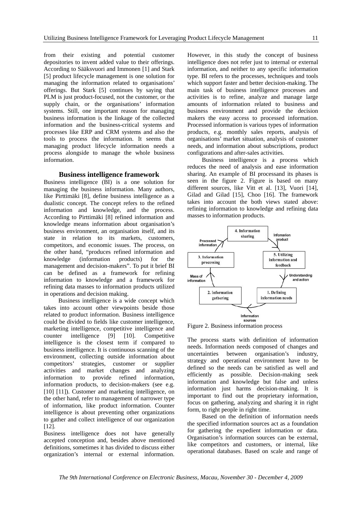from their existing and potential customer depositories to invent added value to their offerings. According to Sääksvuori and Immonen [1] and Stark [5] product lifecycle management is one solution for managing the information related to organisations' offerings. But Stark [5] continues by saying that PLM is just product-focused, not the customer, or the supply chain, or the organisations' information systems. Still, one important reason for managing business information is the linkage of the collected information and the business-critical systems and processes like ERP and CRM systems and also the tools to process the information. It seems that managing product lifecycle information needs a process alongside to manage the whole business information.

#### **Business intelligence framework**

Business intelligence (BI) is a one solution for managing the business information. Many authors, like Pirttimäki [8], define business intelligence as a dualistic concept. The concept refers to the refined information and knowledge, and the process. According to Pirttimäki [8] refined information and knowledge means information about organisation's business environment, an organisation itself, and its state in relation to its markets, customers, competitors, and economic issues. The process, on the other hand, "produces refined information and knowledge (information products) for the management and decision-makers". To put it brief BI can be defined as a framework for refining information to knowledge and a framework for refining data masses to information products utilized in operations and decision making.

Business intelligence is a wide concept which takes into account other viewpoints beside those related to product information. Business intelligence could be divided to fields like customer intelligence, marketing intelligence, competitive intelligence and counter intelligence [9] [10]. Competitive intelligence is the closest term if compared to business intelligence. It is continuous scanning of the environment, collecting outside information about competitors' strategies, customer or supplier activities and market changes and analyzing information to provide refined information, information products, to decision-makers (see e.g. [10] [11]). Customer and marketing intelligence, on the other hand, refer to management of narrower type of information, like product information. Counter intelligence is about preventing other organizations to gather and collect intelligence of our organization [12].

Business intelligence does not have generally accepted conception and, besides above mentioned definitions, sometimes it has divided to discuss either organization's internal or external information.

However, in this study the concept of business intelligence does not refer just to internal or external information, and neither to any specific information type. BI refers to the processes, techniques and tools which support faster and better decision-making. The main task of business intelligence processes and activities is to refine, analyze and manage large amounts of information related to business and business environment and provide the decision makers the easy access to processed information. Processed information is various types of information products, e.g. monthly sales reports, analysis of organisations' market situation, analysis of customer needs, and information about subscriptions, product configurations and after-sales activities.

Business intelligence is a process which reduces the need of analysis and ease information sharing. An example of BI processand its phases is seen in the figure 2. Figure is based on many different sources, like Vitt et al. [13], Vuori [14], Gilad and Gilad [15], Choo [16]. The framework takes into account the both views stated above: refining information to knowledge and refining data masses to information products.



Figure 2. Business information process

The process starts with definition of information needs. Information needs composed of changes and uncertainties between organisation's industry, strategy and operational environment have to be defined so the needs can be satisfied as well and efficiently as possible. Decision-making seek information and knowledge but false and unless information just harms decision-making. It is important to find out the proprietary information, focus on gathering, analyzing and sharing it in right form, to right people in right time.

Based on the definition of information needs the specified information sources act as a foundation for gathering the expedient information or data. Organisation's information sources can be external, like competitors and customers, or internal, like operational databases. Based on scale and range of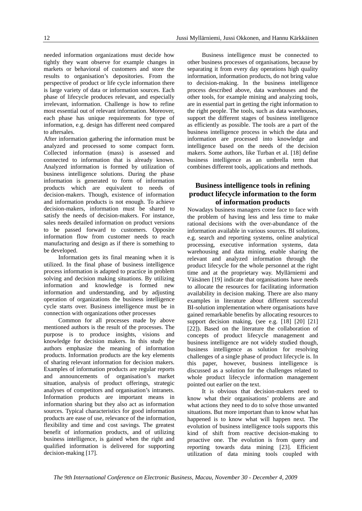needed information organizations must decide how tightly they want observe for example changes in markets or behavioral of customers and store the results to organisation's depositories. From the perspective of product or life cycle information there is large variety of data or information sources. Each phase of lifecycle produces relevant, and especially irrelevant, information. Challenge is how to refine most essential out of relevant information. Moreover, each phase has unique requirements for type of information, e.g. design has different need compared to aftersales.

After information gathering the information must be analyzed and processed to some compact form. Collected information (mass) is assessed and connected to information that is already known. Analyzed information is formed by utilization of business intelligence solutions. During the phase information is generated to form of information products which are equivalent to needs of decision-makers. Though, existence of information and information products is not enough. To achieve decision-makers, information must be shared to satisfy the needs of decision-makers. For instance, sales needs detailed information on product versions to be passed forward to customers. Opposite information flow from customer needs to reach manufacturing and design as if there is something to be developed.

Information gets its final meaning when it is utilized. In the final phase of business intelligence process information is adapted to practice in problem solving and decision making situations. By utilizing information and knowledge is formed new information and understanding, and by adjusting operation of organizations the business intelligence cycle starts over. Business intelligence must be in connection with organizations other processes

Common for all processes made by above mentioned authors is the result of the processes. The purpose is to produce insights, visions and knowledge for decision makers. In this study the authors emphasize the meaning of information products. Information products are the key elements of sharing relevant information for decision makers. Examples of information products are regular reports and announcements of organisation's market situation, analysis of product offerings, strategic analyses of competitors and organisation's intranets. Information products are important means in information sharing but they also act as information sources. Typical characteristics for good information products are ease of use, relevance of the information, flexibility and time and cost savings. The greatest benefit of information products, and of utilizing business intelligence, is gained when the right and qualified information is delivered for supporting decision-making [17].

Business intelligence must be connected to other business processes of organisations, because by separating it from every day operations high quality information, information products, do not bring value to decision-making. In the business intelligence process described above, data warehouses and the other tools, for example mining and analyzing tools, are in essential part in getting the right information to the right people. The tools, such as data warehouses, support the different stages of business intelligence as efficiently as possible. The tools are a part of the business intelligence process in which the data and information are processed into knowledge and intelligence based on the needs of the decision makers. Some authors, like Turban et al. [18] define business intelligence as an umbrella term that

## **Business intelligence tools in refining product lifecycle information to the form of information products**

combines different tools, applications and methods.

Nowadays business managers come face to face with the problem of having less and less time to make rational decisions with the over-abundance of the information available in various sources. BI solutions, e.g. search and reporting systems, online analytical processing, executive information systems, data warehousing and data mining, enable sharing the relevant and analyzed information through the product lifecycle for the whole personnel at the right time and at the proprietary way. Myllärniemi and Väisänen [19] indicate that organisations have needs to allocate the resources for facilitating information availability in decision making. There are also many examples in literature about different successful BI-solution implementation where organisations have gained remarkable benefits by allocating resources to support decision making, (see e.g. [18] [20] [21] [22]). Based on the literature the collaboration of concepts of product lifecycle management and business intelligence are not widely studied though, business intelligence as solution for resolving challenges of a single phase of product lifecycle is. In this paper, however, business intelligence is discussed as a solution for the challenges related to whole product lifecycle information management pointed out earlier on the text.

It is obvious that decision-makers need to know what their organisations' problems are and what actions they need to do to solve those unwanted situations. But more important than to know what has happened is to know what will happen next. The evolution of business intelligence tools supports this kind of shift from reactive decision-making to proactive one. The evolution is from query and reporting towards data mining [23]. Efficient utilization of data mining tools coupled with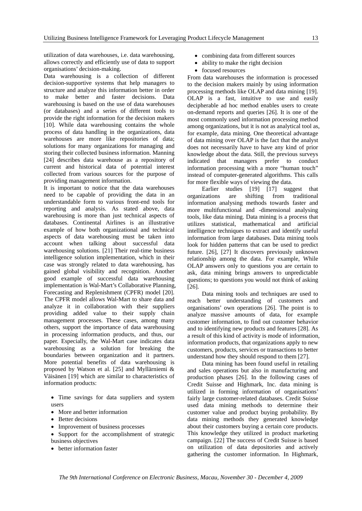utilization of data warehouses, i.e. data warehousing, allows correctly and efficiently use of data to support organisations' decision-making.

Data warehousing is a collection of different decision-supportive systems that help managers to structure and analyze this information better in order to make better and faster decisions. Data warehousing is based on the use of data warehouses (or databases) and a series of different tools to provide the right information for the decision makers [10]. While data warehousing contains the whole process of data handling in the organizations, data warehouses are more like repositories of data; solutions for many organizations for managing and storing their collected business information. Manning [24] describes data warehouse as a repository of current and historical data of potential interest collected from various sources for the purpose of providing management information.

It is important to notice that the data warehouses need to be capable of providing the data in an understandable form to various front-end tools for reporting and analysis. As stated above, data warehousing is more than just technical aspects of databases. Continental Airlines is an illustrative example of how both organizational and technical aspects of data warehousing must be taken into account when talking about successful data warehousing solutions. [21] Their real-time business intelligence solution implementation, which in their case was strongly related to data warehousing, has gained global visibility and recognition. Another good example of successful data warehousing implementation is Wal-Mart's Collaborative Planning, Forecasting and Replenishment (CPFR) model [20]. The CPFR model allows Wal-Mart to share data and analyze it in collaboration with their suppliers providing added value to their supply chain management processes. These cases, among many others, support the importance of data warehousing in processing information products, and thus, our paper. Especially, the Wal-Mart case indicates data warehousing as a solution for breaking the boundaries between organization and it partners. More potential benefits of data warehousing is proposed by Watson et al. [25] and Myllärniemi & Väisänen [19] which are similar to characteristics of information products:

- Time savings for data suppliers and system users
- More and better information
- Better decisions
- Improvement of business processes
- Support for the accomplishment of strategic business objectives
- better information faster
- combining data from different sources
- ability to make the right decision
- focused resources

From data warehouses the information is processed to the decision makers mainly by using information processing methods like OLAP and data mining [19]. OLAP is a fast, intuitive to use and easily decipherable ad hoc method enables users to create on-demand reports and queries [26]. It is one of the most commonly used information processing method among organizations, but it is not as analytical tool as, for example, data mining. One theoretical advantage of data mining over OLAP is the fact that the analyst does not necessarily have to have any kind of prior knowledge about the data. Still, the previous surveys indicated that managers prefer to conduct information processing with a more "human touch" instead of computer-generated algorithms. This calls for more flexible ways of viewing the data.

Earlier studies [19] [17] suggest that organizations are shifting from traditional information analysing methods towards faster and more multifunctional and -dimensional analysing tools, like data mining. Data mining is a process that utilizes statistical, mathematical and artificial intelligence techniques to extract and identify useful information from large databases. Data mining tools look for hidden patterns that can be used to predict future. [26], [27] It discovers previously unknown relationship among the data. For example, While OLAP answers only to questions you are certain to ask, data mining brings answers to unpredictable questions; to questions you would not think of asking [26].

Data mining tools and techniques are used to reach better understanding of customers and organisations' own operations [26]. The point is to analyze massive amounts of data, for example customer information, to find out customer behavior and to identifying new products and features [28]. As a result of this kind of activity is mode of information, information products, that organizations apply to new customers, products, services or transactions to better understand how they should respond to them [27].

Data mining has been found useful in retailing and sales operations but also in manufacturing and production phases [26]. In the following cases of Credit Suisse and Highmark, Inc. data mining is utilized in forming information of organisations' fairly large customer-related databases. Credit Suisse used data mining methods to determine their customer value and product buying probability. By data mining methods they generated knowledge about their customers buying a certain core products. This knowledge they utilized in product marketing campaign. [22] The success of Credit Suisse is based on utilization of data depositories and actively gathering the customer information. In Highmark,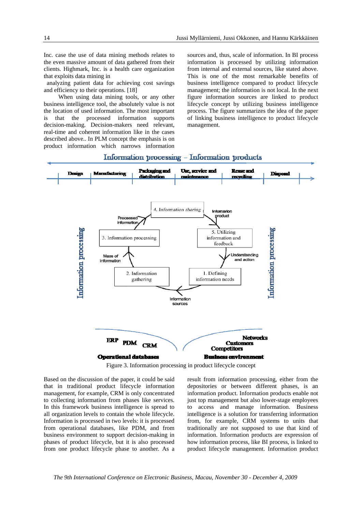Inc. case the use of data mining methods relates to the even massive amount of data gathered from their clients. Highmark, Inc. is a health care organization that exploits data mining in

 analyzing patient data for achieving cost savings and efficiency to their operations. [18]

When using data mining tools, or any other business intelligence tool, the absolutely value is not the location of used information. The most important is that the processed information supports decision-making. Decision-makers need relevant, real-time and coherent information like in the cases described above.. In PLM concept the emphasis is on product information which narrows information sources and, thus, scale of information. In BI process information is processed by utilizing information from internal and external sources, like stated above. This is one of the most remarkable benefits of business intelligence compared to product lifecycle management; the information is not local. In the next figure information sources are linked to product lifecycle concept by utilizing business intelligence process. The figure summarizes the idea of the paper of linking business intelligence to product lifecycle management.

## Information processing - Information products



Figure 3. Information processing in product lifecycle concept

Based on the discussion of the paper, it could be said that in traditional product lifecycle information management, for example, CRM is only concentrated to collecting information from phases like services. In this framework business intelligence is spread to all organization levels to contain the whole lifecycle. Information is processed in two levels: it is processed from operational databases, like PDM, and from business environment to support decision-making in phases of product lifecycle, but it is also processed from one product lifecycle phase to another. As a result from information processing, either from the depositories or between different phases, is an information product. Information products enable not just top management but also lower-stage employees to access and manage information. Business intelligence is a solution for transferring information from, for example, CRM systems to units that traditionally are not supposed to use that kind of information. Information products are expression of how information process, like BI process, is linked to product lifecycle management. Information product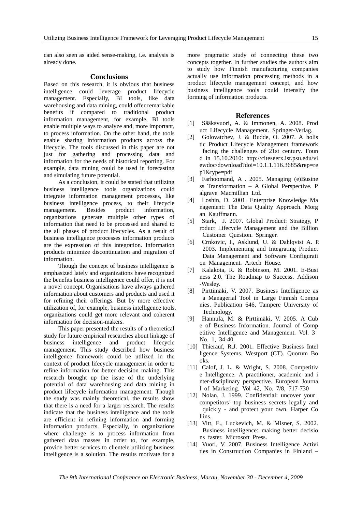can also seen as aided sense-making, i.e. analysis is already done.

#### **Conclusions**

Based on this research, it is obvious that business intelligence could leverage product lifecycle management. Especially, BI tools, like data warehousing and data mining, could offer remarkable benefits if compared to traditional product information management, for example, BI tools enable multiple ways to analyze and, more important, to process information. On the other hand, the tools enable sharing information products across the lifecycle. The tools discussed in this paper are not just for gathering and processing data and information for the needs of historical reporting. For example, data mining could be used in forecasting and simulating future potential.

As a conclusion, it could be stated that utilizing business intelligence tools organizations could integrate information management processes, like business intelligence process, to their lifecycle management. Besides product information, organizations generate multiple other types of information that need to be processed and shared to the all phases of product lifecycles. As a result of business intelligence processes information products are the expression of this integration. Information products minimize discontinuation and migration of information.

Though the concept of business intelligence is emphasized lately and organizations have recognized the benefits business intelligence could offer, it is not a novel concept. Organisations have always gathered information about customers and products and used it for refining their offerings. But by more effective utilization of, for example, business intelligence tools, organizations could get more relevant and coherent information for decision-makers.

This paper presented the results of a theoretical study for future empirical researches about linkage of business intelligence and product lifecycle management. This study described how business intelligence framework could be utilized in the context of product lifecycle management in order to refine information for better decision making. This research brought up the issue of the underlying potential of data warehousing and data mining in product lifecycle information management. Though the study was mainly theoretical, the results show that there is a need for a larger research. The results indicate that the business intelligence and the tools are efficient in refining information and forming information products. Especially, in organizations where challenge is to process information from gathered data masses in order to, for example, provide better services to clientele utilizing business intelligence is a solution. The results motivate for a

more pragmatic study of connecting these two concepts together. In further studies the authors aim to study how Finnish manufacturing companies actually use information processing methods in a product lifecycle management concept, and how business intelligence tools could intensify the forming of information products.

#### **References**

- [1] Sääksvuori, A. & Immonen, A. 2008. Prod uct Lifecycle Management. Springer-Verlag.
- [2] Golovatchev, J. & Budde, O. 2007. A holis tic Product Lifecycle Management framework facing the challenges of 21st century. Foun d in 15.10.2010: http://citeseerx.ist.psu.edu/vi ewdoc/download?doi=10.1.1.116.3685&rep=re p1&type=pdf
- [3] Farhoomand, A. 2005. Managing (e)Busine ss Transformation – A Global Perspective. P algrave Macmillian Ltd.
- [4] Loshin, D. 2001. Enterprise Knowledge Ma nagement: The Data Quality Approach. Morg an Kauffmann.
- [5] Stark, J. 2007. Global Product: Strategy, P roduct Lifecycle Management and the Billion Customer Question. Springer.
- [6] Crnkovic, I., Asklund, U. & Dahlqvist A. P. 2003. Implementing and Integrating Product Data Management and Software Configurati on Management. Artech House.
- [7] Kalakota, R. & Robinson, M. 2001. E-Busi ness 2.0. The Roadmap to Success. Addison -Wesley.
- [8] Pirttimäki, V. 2007. Business Intelligence as a Managerial Tool in Large Finnish Compa nies. Publication 646, Tampere University of Technology.
- [9] Hannula, M. & Pirttimäki, V. 2005. A Cub e of Business Information. Journal of Comp etitive Intelligence and Management. Vol. 3 No. 1, 34-40
- [10] Thierauf, R.J. 2001. Effective Business Intel ligence Systems. Westport (CT). Quorum Bo oks.
- [11] Calof, J. L. & Wright, S. 2008. Competitiv e Intelligence. A practitioner, academic and i nter-disciplinary perspective. European Journa l of Marketing. Vol 42, No. 7/8, 717-730
- [12] Nolan, J. 1999. Confidential: uncover your competitors' top business secrets legally and quickly - and protect your own. Harper Co llins.
- [13] Vitt, E., Luckevich, M. & Misner, S. 2002. Business intelligence: making better decisio ns faster. Microsoft Press.
- [14] Vuori, V. 2007. Business Intelligence Activi ties in Construction Companies in Finland –